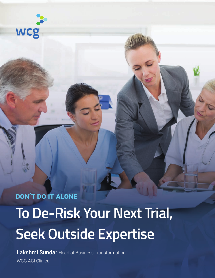

**DON'T DO IT ALONE To De-Risk Your Next Trial, Seek Outside Expertise**

Lakshmi Sundar Head of Business Transformation, WCG ACI Clinical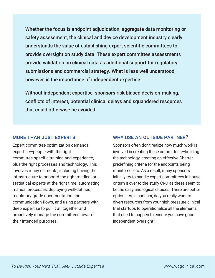Whether the focus is endpoint adjudication, aggregate data monitoring or safety assessment, the clinical and device development industry clearly understands the value of establishing expert scientific committees to provide oversight on study data. These expert committee assessments provide validation on clinical data as additional support for regulatory submissions and commercial strategy. What is less well understood, however, is the importance of independent expertise.

Without independent expertise, sponsors risk biased decision-making, conflicts of interest, potential clinical delays and squandered resources that could otherwise be avoided.

#### MORE THAN JUST EXPERTS

Expert committee optimization demands expertise—people with the right committee-specific training and experience, plus the right processes and technology. This involves many elements, including having the infrastructure to onboard the right medical or statistical experts at the right time, automating manual processes, deploying well-defined, regulatory-grade documentation and communication flows, and using partners with deep expertise to pull it all together and proactively manage the committees toward their intended purposes.

#### WHY USE AN OUTSIDE PARTNER?

Sponsors often don't realize how much work is involved in creating these committees—building the technology, creating an effective Charter, predefining criteria for the endpoints being monitored, etc. As a result, many sponsors initially try to handle expert committees in house or turn it over to the study CRO as these seem to be the easy and logical choices. There are better options! As a sponsor, do you really want to divert resources from your high-pressure clinical trial startups to operationalize all the elements that need to happen to ensure you have good independent oversight?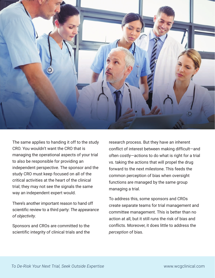

The same applies to handing it off to the study CRO. You wouldn't want the CRO that is managing the operational aspects of your trial to also be responsible for providing an independent perspective. The sponsor and the study CRO must keep focused on all of the critical activities at the heart of the clinical trial; they may not see the signals the same way an independent expert would.

There's another important reason to hand off scientific review to a third party: *The appearance of objectivity.*

Sponsors and CROs are committed to the scientific integrity of clinical trials and the research process. But they have an inherent conflict of interest between making difficult—and often costly—actions to do what is right for a trial vs. taking the actions that will propel the drug forward to the next milestone. This feeds the common perception of bias when oversight functions are managed by the same group managing a trial.

To address this, some sponsors and CROs create separate teams for trial management and committee management. This is better than no action at all, but it still runs the risk of bias and conflicts. Moreover, it does little to address the *perception* of bias.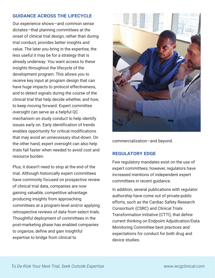### GUIDANCE ACROSS THE LIFECYCLE

Our experience shows—and common sense dictates—that planning committees at the onset of clinical trial design, rather than during trial conduct, provides better insights and value. The later you bring in the expertise, the less useful it may be for a strategy that is already underway. You want access to these insights throughout the lifecycle of the development program. This allows you to receive key input at program design that can have huge impacts to protocol effectiveness, and to detect signals during the course of the clinical trial that help decide whether, and how, to keep moving forward. Expert committee oversight can serve as a helpful QC mechanism on study conduct to help identify issues early on. Early identification of trends enables opportunity for critical modifications that may avoid an unnecessary shut-down. On the other hand, expert oversight can also help trials fail faster when needed to avoid cost and resource burden.

Plus, it doesn't need to stop at the end of the trial. Although historically expert committees have commonly focused on prospective review of clinical trial data, companies are now gaining valuable, competitive advantage producing insights from approaching committees at a program-level and/or applying retrospective reviews of data from select trials. Thoughtful deployment of committees in the post-marketing phase has enabled companies to organize, define and gain insightful expertise to bridge from clinical to



commercialization—and beyond.

## REGULATORY EDGE

Few regulatory mandates exist on the use of expert committees; however, regulators have increased mentions of independent expert committees in recent guidance.

In addition, several publications with regulator authorship have come out of private-public efforts, such as the Cardiac Safety Research Consortium (CSRC) and Clinical Trials Transformation Initiative (CTTI), that define current thinking on Endpoint Adjudication/Data Monitoring Committee best practices and expectations for conduct for both drug and device studies.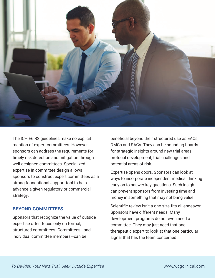

The ICH E6 R2 guidelines make no explicit mention of expert committees. However, sponsors can address the requirements for timely risk detection and mitigation through well-designed committees. Specialized expertise in committee design allows sponsors to construct expert committees as a strong foundational support tool to help advance a given regulatory or commercial strategy.

#### BEYOND COMMITTEES

Sponsors that recognize the value of outside expertise often focus only on formal, structured committees. Committees—and individual committee members—can be

beneficial beyond their structured use as EACs, DMCs and SACs. They can be sounding boards for strategic insights around new trial areas, protocol development, trial challenges and potential areas of risk.

Expertise opens doors. Sponsors can look at ways to incorporate independent medical thinking early on to answer key questions. Such insight can prevent sponsors from investing time and money in something that may not bring value.

Scientific review isn't a one-size-fits-all endeavor. Sponsors have different needs. Many development programs do not even need a committee. They may just need that one therapeutic expert to look at that one particular signal that has the team concerned.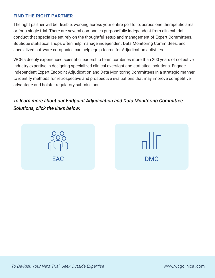## FIND THE RIGHT PARTNER

The right partner will be flexible, working across your entire portfolio, across one therapeutic area or for a single trial. There are several companies purposefully independent from clinical trial conduct that specialize entirely on the thoughtful setup and management of Expert Committees. Boutique statistical shops often help manage independent Data Monitoring Committees, and specialized software companies can help equip teams for Adjudication activities.

WCG's deeply experienced scientific leadership team combines more than 200 years of collective industry expertise in designing specialized clinical oversight and statistical solutions. Engage Independent Expert Endpoint Adjudication and Data Monitoring Committees in a strategic manner to identify methods for retrospective and prospective evaluations that may improve competitive advantage and bolster regulatory submissions.

# *To learn more about our Endpoint Adjudication and Data Monitoring Committee Solutions, click the links below:*